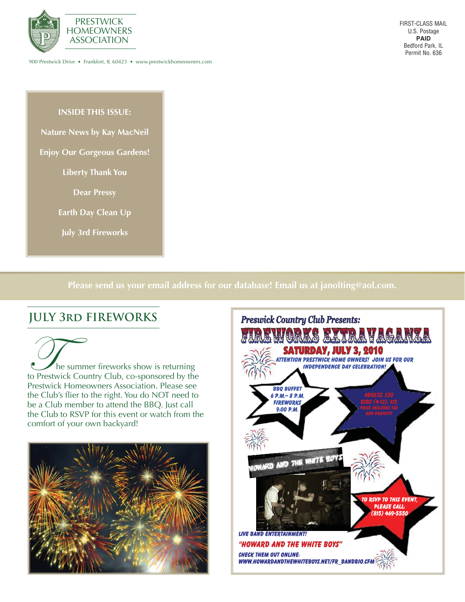

900 Prestwick Drive • Frankfort, IL 60423 • www.prestwickhomeowners.com

**INSIDE THIS ISSUE:**

- **Nature News by Kay MacNeil**
- **Enjoy Our Gorgeous Gardens!**

**Liberty Thank You**

**Dear Pressy**

**Earth Day Clean Up**

**July 3rd Fireworks**

**Please send us your email address for our database! Email us at janolting@aol.com.**

## **JULY 3rd FIREWORKS**

The summer fireworks show is returning<br>to Prestwick Country Club, co-sponsored by the Prestwick Homeowners Association. Please see the Club's flier to the right. You do NOT need to be a Club member to attend the BBQ. Just call the Club to RSVP for this event or watch from the comfort of your own backyard!



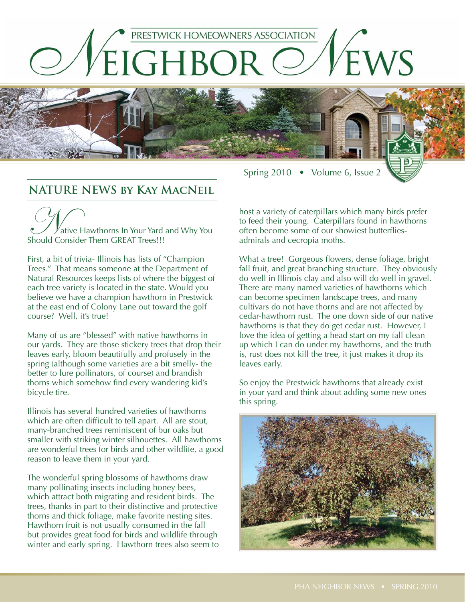

### **NATURE NEWS by Kay MacNeil**

 $\mathbb{V}_{\rm{ative}}$  Hawthorns In Your Yard and Why You Should Consider Them GREAT Trees!!!

First, a bit of trivia- Illinois has lists of "Champion Trees." That means someone at the Department of Natural Resources keeps lists of where the biggest of each tree variety is located in the state. Would you believe we have a champion hawthorn in Prestwick at the east end of Colony Lane out toward the golf course? Well, it's true!

Many of us are "blessed" with native hawthorns in our yards. They are those stickery trees that drop their leaves early, bloom beautifully and profusely in the spring (although some varieties are a bit smelly- the better to lure pollinators, of course) and brandish thorns which somehow find every wandering kid's bicycle tire.

Illinois has several hundred varieties of hawthorns which are often difficult to tell apart. All are stout, many-branched trees reminiscent of bur oaks but smaller with striking winter silhouettes. All hawthorns are wonderful trees for birds and other wildlife, a good reason to leave them in your yard.

The wonderful spring blossoms of hawthorns draw many pollinating insects including honey bees, which attract both migrating and resident birds. The trees, thanks in part to their distinctive and protective thorns and thick foliage, make favorite nesting sites. Hawthorn fruit is not usually consumed in the fall but provides great food for birds and wildlife through winter and early spring. Hawthorn trees also seem to host a variety of caterpillars which many birds prefer to feed their young. Caterpillars found in hawthorns often become some of our showiest butterfliesadmirals and cecropia moths.

Spring 2010 • Volume 6, Issue 2

What a tree! Gorgeous flowers, dense foliage, bright fall fruit, and great branching structure. They obviously do well in Illinois clay and also will do well in gravel. There are many named varieties of hawthorns which can become specimen landscape trees, and many cultivars do not have thorns and are not affected by cedar-hawthorn rust. The one down side of our native hawthorns is that they do get cedar rust. However, I love the idea of getting a head start on my fall clean up which I can do under my hawthorns, and the truth is, rust does not kill the tree, it just makes it drop its leaves early.

So enjoy the Prestwick hawthorns that already exist in your yard and think about adding some new ones this spring.

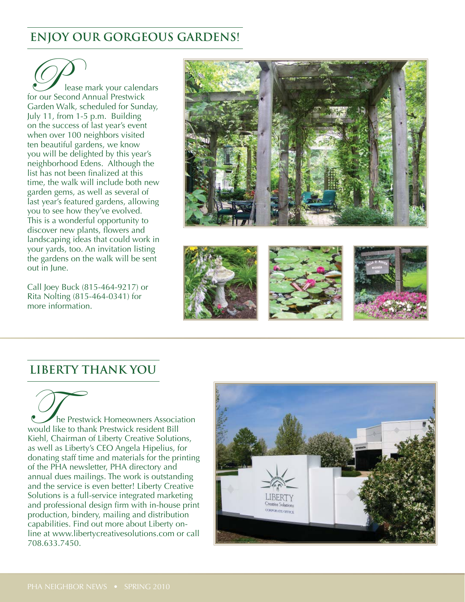# **ENJOY OUR GORGEOUS GARDENS!**

Please mark your calendars for our Second Annual Prestwick Garden Walk, scheduled for Sunday, July 11, from 1-5 p.m. Building on the success of last year's event when over 100 neighbors visited ten beautiful gardens, we know you will be delighted by this year's neighborhood Edens. Although the list has not been finalized at this time, the walk will include both new garden gems, as well as several of last year's featured gardens, allowing you to see how they've evolved. This is a wonderful opportunity to discover new plants, flowers and landscaping ideas that could work in your yards, too. An invitation listing the gardens on the walk will be sent out in June.

Call Joey Buck (815-464-9217) or Rita Nolting (815-464-0341) for more information.



### **LIBERTY THANK YOU**

The Prestwick Homeowners Association would like to thank Prestwick resident Bill Kiehl, Chairman of Liberty Creative Solutions, as well as Liberty's CEO Angela Hipelius, for donating staff time and materials for the printing of the PHA newsletter, PHA directory and annual dues mailings. The work is outstanding and the service is even better! Liberty Creative Solutions is a full-service integrated marketing and professional design firm with in-house print production, bindery, mailing and distribution capabilities. Find out more about Liberty online at www.libertycreativesolutions.com or call 708.633.7450.